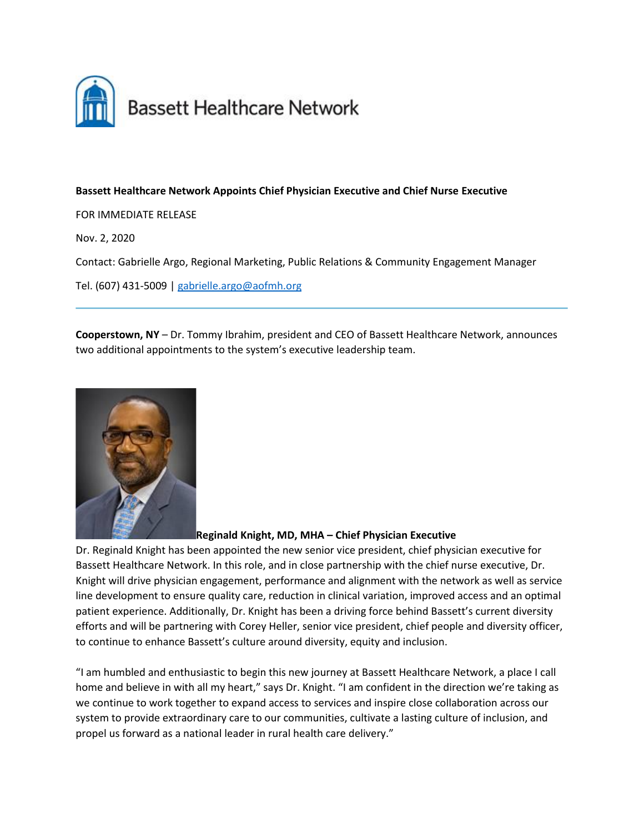

## **Bassett Healthcare Network Appoints Chief Physician Executive and Chief Nurse Executive**

FOR IMMEDIATE RELEASE

Nov. 2, 2020

Contact: Gabrielle Argo, Regional Marketing, Public Relations & Community Engagement Manager

Tel. (607) 431-5009 | [gabrielle.argo@aofmh.org](mailto:gabrielle.argo@aofmh.org)

**Cooperstown, NY** – Dr. Tommy Ibrahim, president and CEO of Bassett Healthcare Network, announces two additional appointments to the system's executive leadership team.



**Reginald Knight, MD, MHA – Chief Physician Executive**

Dr. Reginald Knight has been appointed the new senior vice president, chief physician executive for Bassett Healthcare Network. In this role, and in close partnership with the chief nurse executive, Dr. Knight will drive physician engagement, performance and alignment with the network as well as service line development to ensure quality care, reduction in clinical variation, improved access and an optimal patient experience. Additionally, Dr. Knight has been a driving force behind Bassett's current diversity efforts and will be partnering with Corey Heller, senior vice president, chief people and diversity officer, to continue to enhance Bassett's culture around diversity, equity and inclusion.

"I am humbled and enthusiastic to begin this new journey at Bassett Healthcare Network, a place I call home and believe in with all my heart," says Dr. Knight. "I am confident in the direction we're taking as we continue to work together to expand access to services and inspire close collaboration across our system to provide extraordinary care to our communities, cultivate a lasting culture of inclusion, and propel us forward as a national leader in rural health care delivery."